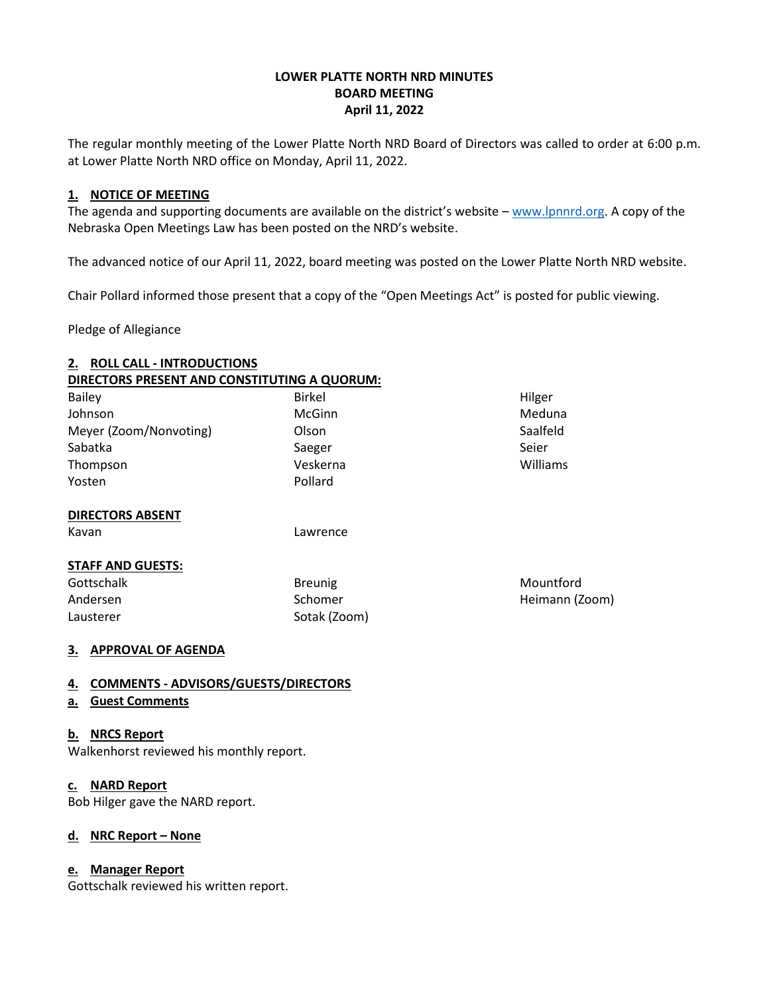# **LOWER PLATTE NORTH NRD MINUTES BOARD MEETING April 11, 2022**

The regular monthly meeting of the Lower Platte North NRD Board of Directors was called to order at 6:00 p.m. at Lower Platte North NRD office on Monday, April 11, 2022.

# **1. NOTICE OF MEETING**

The agenda and supporting documents are available on the district's website – [www.lpnnrd.org.](http://www.lpnnrd.org/) A copy of the Nebraska Open Meetings Law has been posted on the NRD's website.

The advanced notice of our April 11, 2022, board meeting was posted on the Lower Platte North NRD website.

Chair Pollard informed those present that a copy of the "Open Meetings Act" is posted for public viewing.

Pledge of Allegiance

# **2. ROLL CALL - INTRODUCTIONS DIRECTORS PRESENT AND CONSTITUTING A QUORUM:**

| <b>Bailey</b>            | <b>Birkel</b>  | Hilger         |
|--------------------------|----------------|----------------|
| Johnson                  | McGinn         | Meduna         |
| Meyer (Zoom/Nonvoting)   | Olson          | Saalfeld       |
| Sabatka                  | Saeger         | Seier          |
| Thompson                 | Veskerna       | Williams       |
| Yosten                   | Pollard        |                |
| <b>DIRECTORS ABSENT</b>  |                |                |
| Kavan                    | Lawrence       |                |
| <b>STAFF AND GUESTS:</b> |                |                |
| Gottschalk               | <b>Breunig</b> | Mountford      |
| Andersen                 | Schomer        | Heimann (Zoom) |
| Lausterer                | Sotak (Zoom)   |                |
|                          |                |                |

### **3. APPROVAL OF AGENDA**

### **4. COMMENTS - ADVISORS/GUESTS/DIRECTORS**

### **a. Guest Comments**

#### **b. NRCS Report**

Walkenhorst reviewed his monthly report.

### **c. NARD Report**

Bob Hilger gave the NARD report.

### **d. NRC Report – None**

### **e. Manager Report**

Gottschalk reviewed his written report.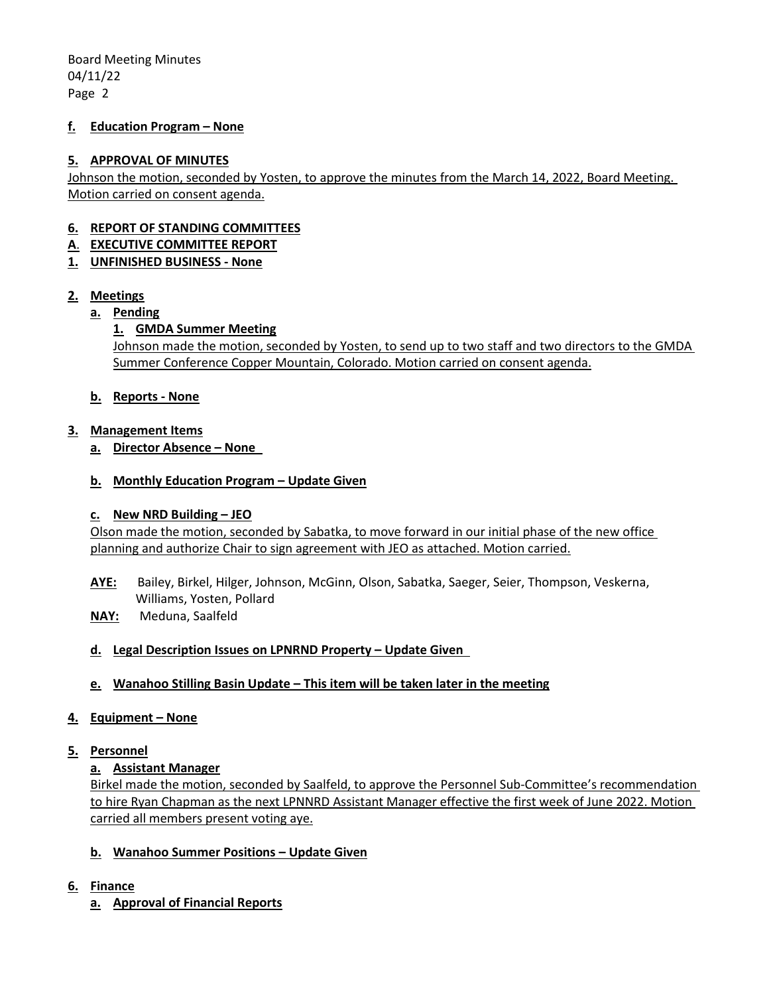### **f. Education Program – None**

#### **5. APPROVAL OF MINUTES**

Johnson the motion, seconded by Yosten, to approve the minutes from the March 14, 2022, Board Meeting. Motion carried on consent agenda.

### **6. REPORT OF STANDING COMMITTEES**

- **A**. **EXECUTIVE COMMITTEE REPORT**
- **1. UNFINISHED BUSINESS - None**

### **2. Meetings**

# **a. Pending**

### **1. GMDA Summer Meeting**

Johnson made the motion, seconded by Yosten, to send up to two staff and two directors to the GMDA Summer Conference Copper Mountain, Colorado. Motion carried on consent agenda.

### **b. Reports - None**

### **3. Management Items**

**a. Director Absence – None** 

### **b. Monthly Education Program – Update Given**

### **c. New NRD Building – JEO**

Olson made the motion, seconded by Sabatka, to move forward in our initial phase of the new office planning and authorize Chair to sign agreement with JEO as attached. Motion carried.

- **AYE:** Bailey, Birkel, Hilger, Johnson, McGinn, Olson, Sabatka, Saeger, Seier, Thompson, Veskerna, Williams, Yosten, Pollard
- **NAY:** Meduna, Saalfeld

### **d. Legal Description Issues on LPNRND Property – Update Given**

**e. Wanahoo Stilling Basin Update – This item will be taken later in the meeting**

### **4. Equipment – None**

### **5. Personnel**

### **a. Assistant Manager**

Birkel made the motion, seconded by Saalfeld, to approve the Personnel Sub-Committee's recommendation to hire Ryan Chapman as the next LPNNRD Assistant Manager effective the first week of June 2022. Motion carried all members present voting aye.

### **b. Wanahoo Summer Positions – Update Given**

### **6. Finance**

**a. Approval of Financial Reports**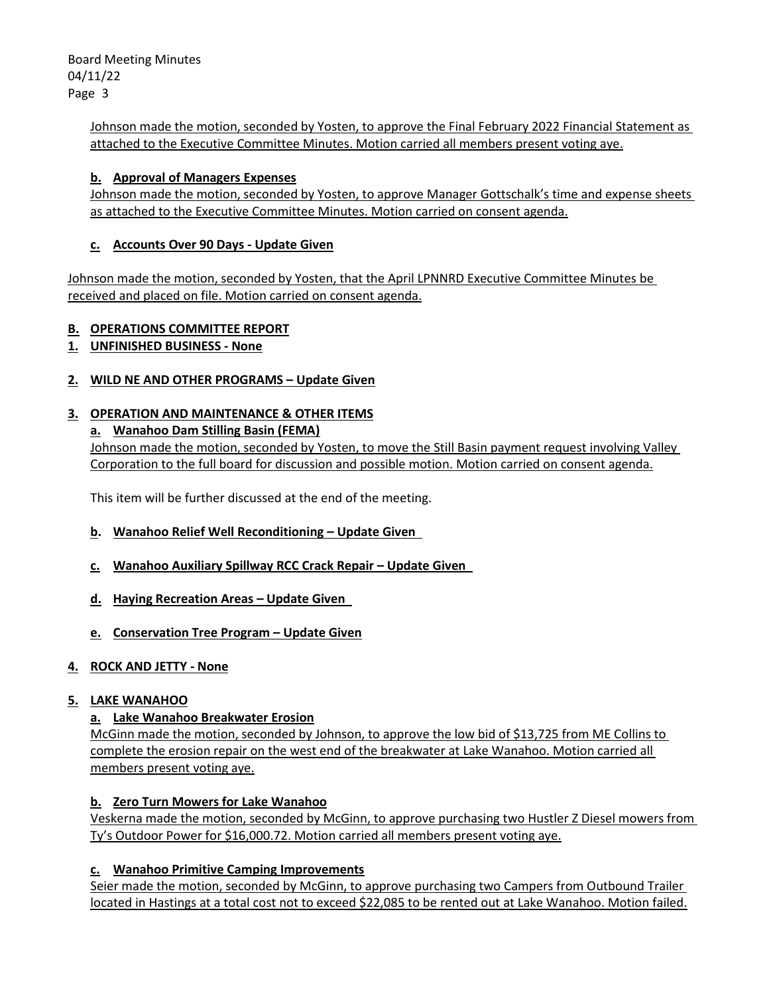> Johnson made the motion, seconded by Yosten, to approve the Final February 2022 Financial Statement as attached to the Executive Committee Minutes. Motion carried all members present voting aye.

# **b. Approval of Managers Expenses**

Johnson made the motion, seconded by Yosten, to approve Manager Gottschalk's time and expense sheets as attached to the Executive Committee Minutes. Motion carried on consent agenda.

# **c. Accounts Over 90 Days - Update Given**

Johnson made the motion, seconded by Yosten, that the April LPNNRD Executive Committee Minutes be received and placed on file. Motion carried on consent agenda.

# **B. OPERATIONS COMMITTEE REPORT**

**1. UNFINISHED BUSINESS - None**

# **2. WILD NE AND OTHER PROGRAMS – Update Given**

# **3. OPERATION AND MAINTENANCE & OTHER ITEMS**

### **a. Wanahoo Dam Stilling Basin (FEMA)**

Johnson made the motion, seconded by Yosten, to move the Still Basin payment request involving Valley Corporation to the full board for discussion and possible motion. Motion carried on consent agenda.

This item will be further discussed at the end of the meeting.

- **b. Wanahoo Relief Well Reconditioning – Update Given**
- **c. Wanahoo Auxiliary Spillway RCC Crack Repair – Update Given**
- **d. Haying Recreation Areas – Update Given**
- **e. Conservation Tree Program – Update Given**

# **4. ROCK AND JETTY - None**

# **5. LAKE WANAHOO**

### **a. Lake Wanahoo Breakwater Erosion**

McGinn made the motion, seconded by Johnson, to approve the low bid of \$13,725 from ME Collins to complete the erosion repair on the west end of the breakwater at Lake Wanahoo. Motion carried all members present voting aye.

### **b. Zero Turn Mowers for Lake Wanahoo**

Veskerna made the motion, seconded by McGinn, to approve purchasing two Hustler Z Diesel mowers from Ty's Outdoor Power for \$16,000.72. Motion carried all members present voting aye.

### **c. Wanahoo Primitive Camping Improvements**

Seier made the motion, seconded by McGinn, to approve purchasing two Campers from Outbound Trailer located in Hastings at a total cost not to exceed \$22,085 to be rented out at Lake Wanahoo. Motion failed.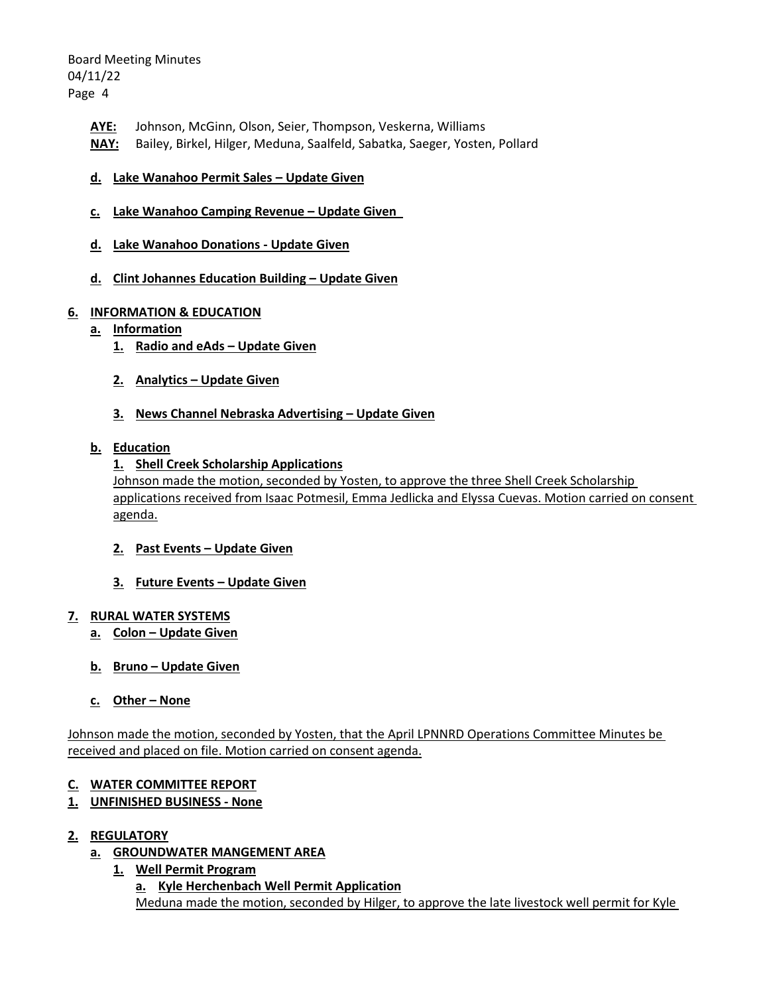- **AYE:** Johnson, McGinn, Olson, Seier, Thompson, Veskerna, Williams
- **NAY:** Bailey, Birkel, Hilger, Meduna, Saalfeld, Sabatka, Saeger, Yosten, Pollard
- **d. Lake Wanahoo Permit Sales – Update Given**
- **c. Lake Wanahoo Camping Revenue – Update Given**
- **d. Lake Wanahoo Donations - Update Given**
- **d. Clint Johannes Education Building – Update Given**

#### **6. INFORMATION & EDUCATION**

#### **a. Information**

- **1. Radio and eAds – Update Given**
- **2. Analytics – Update Given**
- **3. News Channel Nebraska Advertising – Update Given**

#### **b. Education**

### **1. Shell Creek Scholarship Applications**

Johnson made the motion, seconded by Yosten, to approve the three Shell Creek Scholarship applications received from Isaac Potmesil, Emma Jedlicka and Elyssa Cuevas. Motion carried on consent agenda.

- **2. Past Events – Update Given**
- **3. Future Events – Update Given**

#### **7. RURAL WATER SYSTEMS**

- **a. Colon – Update Given**
- **b. Bruno – Update Given**
- **c. Other – None**

Johnson made the motion, seconded by Yosten, that the April LPNNRD Operations Committee Minutes be received and placed on file. Motion carried on consent agenda.

### **C. WATER COMMITTEE REPORT**

### **1. UNFINISHED BUSINESS - None**

### **2. REGULATORY**

- **a. GROUNDWATER MANGEMENT AREA**
	- **1. Well Permit Program**
		- **a. Kyle Herchenbach Well Permit Application** Meduna made the motion, seconded by Hilger, to approve the late livestock well permit for Kyle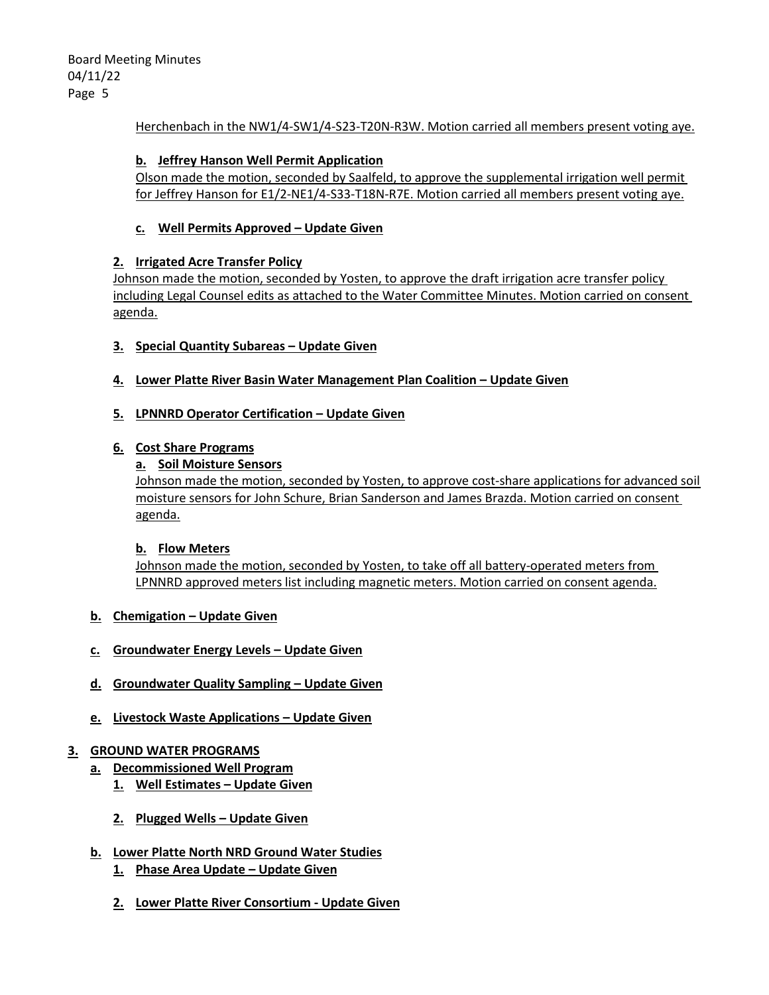Herchenbach in the NW1/4-SW1/4-S23-T20N-R3W. Motion carried all members present voting aye.

## **b. Jeffrey Hanson Well Permit Application**

Olson made the motion, seconded by Saalfeld, to approve the supplemental irrigation well permit for Jeffrey Hanson for E1/2-NE1/4-S33-T18N-R7E. Motion carried all members present voting aye.

# **c. Well Permits Approved – Update Given**

# **2. Irrigated Acre Transfer Policy**

Johnson made the motion, seconded by Yosten, to approve the draft irrigation acre transfer policy including Legal Counsel edits as attached to the Water Committee Minutes. Motion carried on consent agenda.

# **3. Special Quantity Subareas – Update Given**

**4. Lower Platte River Basin Water Management Plan Coalition - Update Given** 

### **5. LPNNRD Operator Certification – Update Given**

### **6. Cost Share Programs**

# **a. Soil Moisture Sensors**

Johnson made the motion, seconded by Yosten, to approve cost-share applications for advanced soil moisture sensors for John Schure, Brian Sanderson and James Brazda. Motion carried on consent agenda.

### **b. Flow Meters**

Johnson made the motion, seconded by Yosten, to take off all battery-operated meters from LPNNRD approved meters list including magnetic meters. Motion carried on consent agenda.

### **b. Chemigation – Update Given**

- **c. Groundwater Energy Levels – Update Given**
- **d. Groundwater Quality Sampling – Update Given**
- **e. Livestock Waste Applications – Update Given**

### **3. GROUND WATER PROGRAMS**

- **a. Decommissioned Well Program**
	- **1. Well Estimates – Update Given**
	- **2. Plugged Wells – Update Given**
- **b. Lower Platte North NRD Ground Water Studies**
	- **1. Phase Area Update – Update Given**
	- **2. Lower Platte River Consortium - Update Given**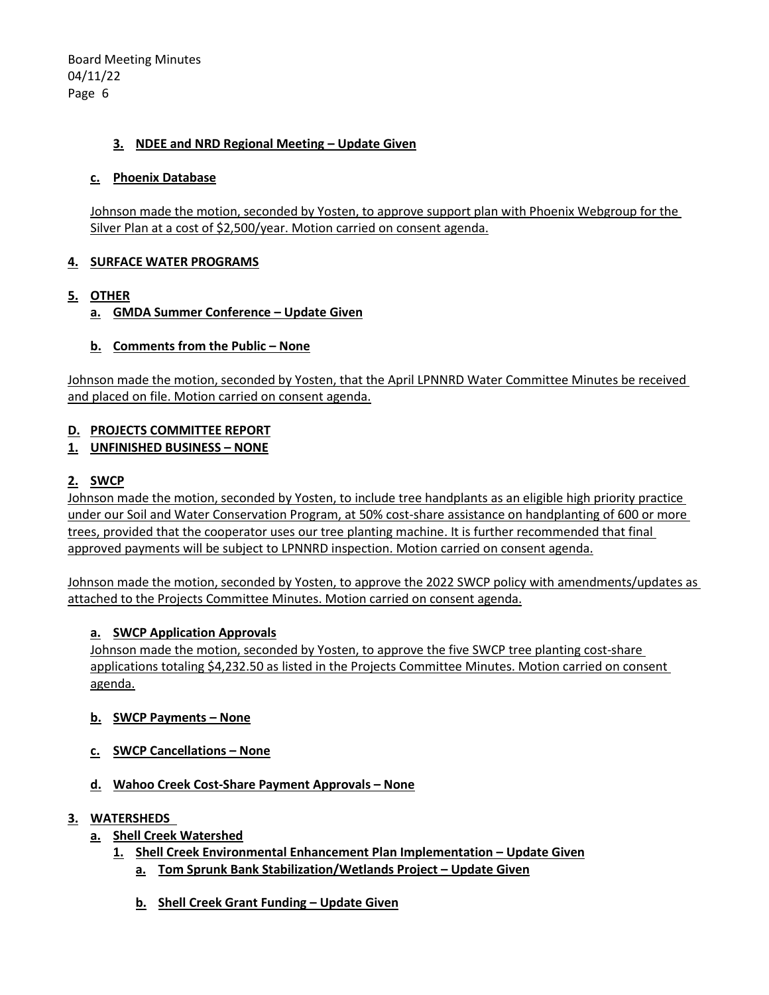## **3. NDEE and NRD Regional Meeting – Update Given**

### **c. Phoenix Database**

Johnson made the motion, seconded by Yosten, to approve support plan with Phoenix Webgroup for the Silver Plan at a cost of \$2,500/year. Motion carried on consent agenda.

### **4. SURFACE WATER PROGRAMS**

### **5. OTHER**

**a. GMDA Summer Conference – Update Given**

### **b. Comments from the Public – None**

Johnson made the motion, seconded by Yosten, that the April LPNNRD Water Committee Minutes be received and placed on file. Motion carried on consent agenda.

### **D. PROJECTS COMMITTEE REPORT**

# **1. UNFINISHED BUSINESS – NONE**

### **2. SWCP**

Johnson made the motion, seconded by Yosten, to include tree handplants as an eligible high priority practice under our Soil and Water Conservation Program, at 50% cost-share assistance on handplanting of 600 or more trees, provided that the cooperator uses our tree planting machine. It is further recommended that final approved payments will be subject to LPNNRD inspection. Motion carried on consent agenda.

Johnson made the motion, seconded by Yosten, to approve the 2022 SWCP policy with amendments/updates as attached to the Projects Committee Minutes. Motion carried on consent agenda.

### **a. SWCP Application Approvals**

Johnson made the motion, seconded by Yosten, to approve the five SWCP tree planting cost-share applications totaling \$4,232.50 as listed in the Projects Committee Minutes. Motion carried on consent agenda.

### **b. SWCP Payments – None**

- **c. SWCP Cancellations – None**
- **d. Wahoo Creek Cost-Share Payment Approvals – None**

### **3. WATERSHEDS**

- **a. Shell Creek Watershed**
	- **1. Shell Creek Environmental Enhancement Plan Implementation – Update Given**
		- **a. Tom Sprunk Bank Stabilization/Wetlands Project – Update Given**
		- **b. Shell Creek Grant Funding – Update Given**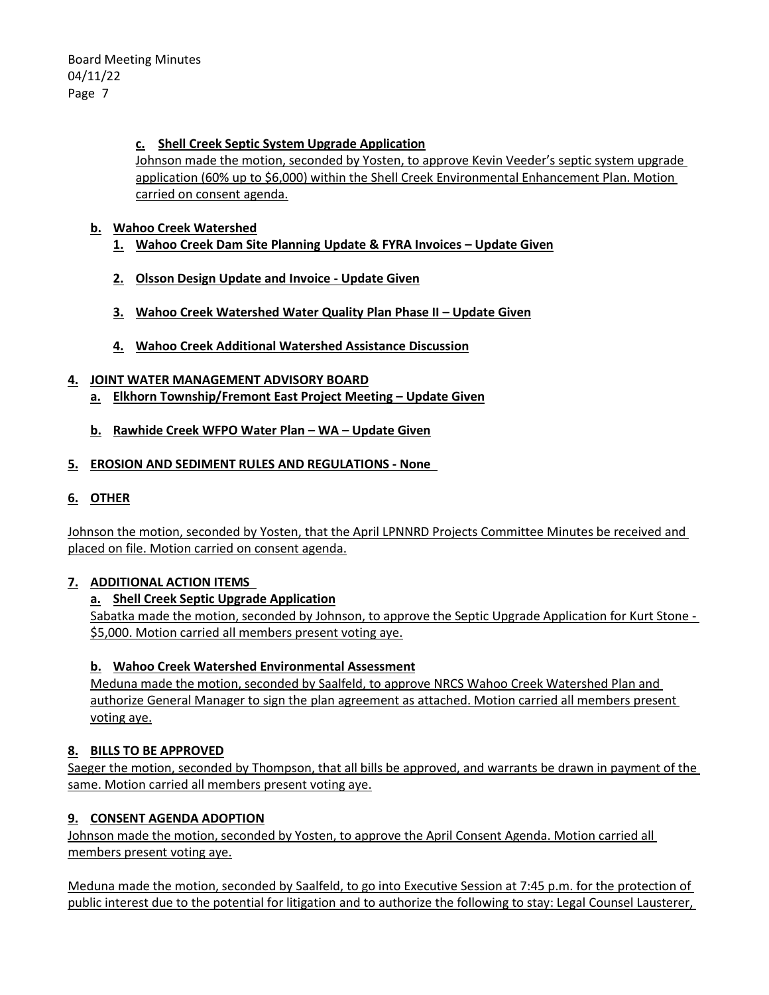# **c. Shell Creek Septic System Upgrade Application**

Johnson made the motion, seconded by Yosten, to approve Kevin Veeder's septic system upgrade application (60% up to \$6,000) within the Shell Creek Environmental Enhancement Plan. Motion carried on consent agenda.

- **b. Wahoo Creek Watershed**
	- **1. Wahoo Creek Dam Site Planning Update & FYRA Invoices – Update Given**
	- **2. Olsson Design Update and Invoice - Update Given**
	- **3. Wahoo Creek Watershed Water Quality Plan Phase II – Update Given**
	- **4. Wahoo Creek Additional Watershed Assistance Discussion**

# **4. JOINT WATER MANAGEMENT ADVISORY BOARD**

- **a. Elkhorn Township/Fremont East Project Meeting – Update Given**
- **b. Rawhide Creek WFPO Water Plan – WA – Update Given**
- **5. EROSION AND SEDIMENT RULES AND REGULATIONS - None**
- **6. OTHER**

Johnson the motion, seconded by Yosten, that the April LPNNRD Projects Committee Minutes be received and placed on file. Motion carried on consent agenda.

### **7. ADDITIONAL ACTION ITEMS**

# **a. Shell Creek Septic Upgrade Application**

Sabatka made the motion, seconded by Johnson, to approve the Septic Upgrade Application for Kurt Stone - \$5,000. Motion carried all members present voting aye.

# **b. Wahoo Creek Watershed Environmental Assessment**

Meduna made the motion, seconded by Saalfeld, to approve NRCS Wahoo Creek Watershed Plan and authorize General Manager to sign the plan agreement as attached. Motion carried all members present voting aye.

# **8. BILLS TO BE APPROVED**

Saeger the motion, seconded by Thompson, that all bills be approved, and warrants be drawn in payment of the same. Motion carried all members present voting aye.

### **9. CONSENT AGENDA ADOPTION**

Johnson made the motion, seconded by Yosten, to approve the April Consent Agenda. Motion carried all members present voting aye.

Meduna made the motion, seconded by Saalfeld, to go into Executive Session at 7:45 p.m. for the protection of public interest due to the potential for litigation and to authorize the following to stay: Legal Counsel Lausterer,